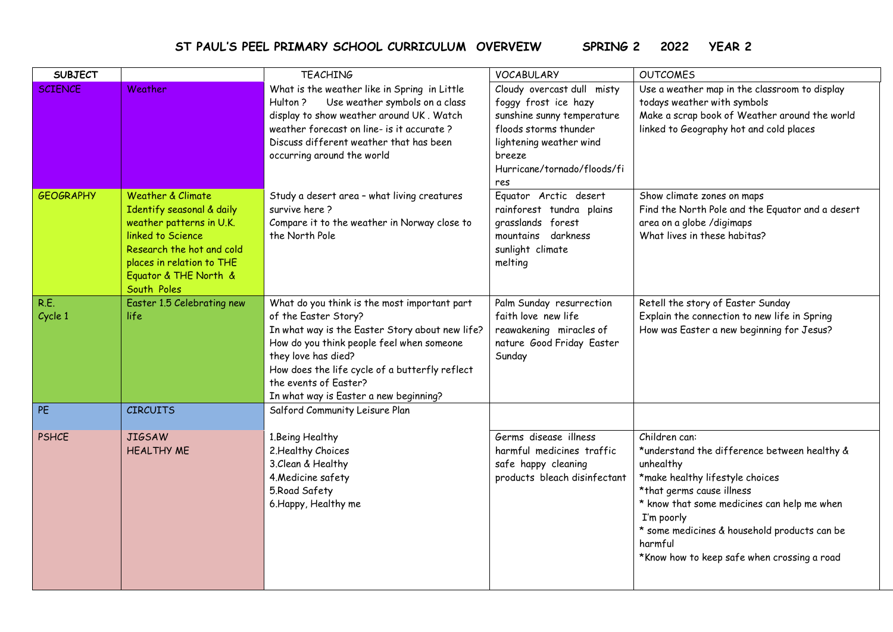**ST PAUL'S PEEL PRIMARY SCHOOL CURRICULUM OVERVEIW SPRING 2 2022 YEAR 2**

| <b>SUBJECT</b>     |                                                                                                                                                                                                              | <b>TEACHING</b>                                                                                                                                                                                                                                                                                                  | <b>VOCABULARY</b>                                                                                                                                                                    | <b>OUTCOMES</b>                                                                                                                                                                                                                                                                                                   |
|--------------------|--------------------------------------------------------------------------------------------------------------------------------------------------------------------------------------------------------------|------------------------------------------------------------------------------------------------------------------------------------------------------------------------------------------------------------------------------------------------------------------------------------------------------------------|--------------------------------------------------------------------------------------------------------------------------------------------------------------------------------------|-------------------------------------------------------------------------------------------------------------------------------------------------------------------------------------------------------------------------------------------------------------------------------------------------------------------|
| <b>SCIENCE</b>     | Weather                                                                                                                                                                                                      | What is the weather like in Spring in Little<br>Use weather symbols on a class<br>Hulton?<br>display to show weather around UK. Watch<br>weather forecast on line- is it accurate?<br>Discuss different weather that has been<br>occurring around the world                                                      | Cloudy overcast dull misty<br>foggy frost ice hazy<br>sunshine sunny temperature<br>floods storms thunder<br>lightening weather wind<br>breeze<br>Hurricane/tornado/floods/fi<br>res | Use a weather map in the classroom to display<br>todays weather with symbols<br>Make a scrap book of Weather around the world<br>linked to Geography hot and cold places                                                                                                                                          |
| <b>GEOGRAPHY</b>   | <b>Weather &amp; Climate</b><br>Identify seasonal & daily<br>weather patterns in U.K.<br>linked to Science<br>Research the hot and cold<br>places in relation to THE<br>Equator & THE North &<br>South Poles | Study a desert area - what living creatures<br>survive here?<br>Compare it to the weather in Norway close to<br>the North Pole                                                                                                                                                                                   | Equator Arctic desert<br>rainforest tundra plains<br>grasslands forest<br>mountains darkness<br>sunlight climate<br>melting                                                          | Show climate zones on maps<br>Find the North Pole and the Equator and a desert<br>area on a globe / digimaps<br>What lives in these habitas?                                                                                                                                                                      |
| R.E.<br>Cycle 1    | Easter 1.5 Celebrating new<br>life.                                                                                                                                                                          | What do you think is the most important part<br>of the Easter Story?<br>In what way is the Easter Story about new life?<br>How do you think people feel when someone<br>they love has died?<br>How does the life cycle of a butterfly reflect<br>the events of Easter?<br>In what way is Easter a new beginning? | Palm Sunday resurrection<br>faith love new life<br>reawakening miracles of<br>nature Good Friday Easter<br>Sunday                                                                    | Retell the story of Easter Sunday<br>Explain the connection to new life in Spring<br>How was Easter a new beginning for Jesus?                                                                                                                                                                                    |
| PE<br><b>PSHCE</b> | <b>CIRCUITS</b><br><b>JIGSAW</b><br><b>HEALTHY ME</b>                                                                                                                                                        | Salford Community Leisure Plan<br>1.Being Healthy<br>2. Healthy Choices<br>3. Clean & Healthy<br>4. Medicine safety<br>5. Road Safety<br>6. Happy, Healthy me                                                                                                                                                    | Germs disease illness<br>harmful medicines traffic<br>safe happy cleaning<br>products bleach disinfectant                                                                            | Children can:<br>*understand the difference between healthy &<br>unhealthy<br>*make healthy lifestyle choices<br>*that germs cause illness<br>* know that some medicines can help me when<br>I'm poorly<br>* some medicines & household products can be<br>harmful<br>*Know how to keep safe when crossing a road |